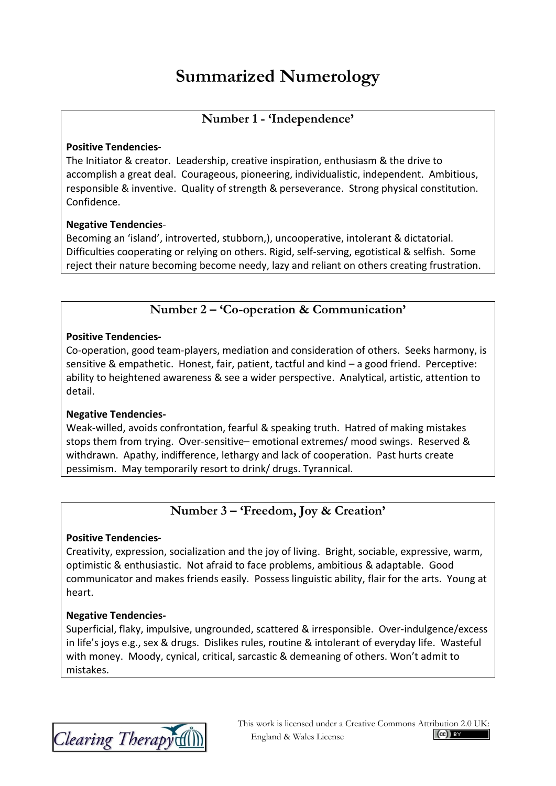# **Summarized Numerology**

## **Number 1 - 'Independence'**

#### **Positive Tendencies**-

The Initiator & creator. Leadership, creative inspiration, enthusiasm & the drive to accomplish a great deal. Courageous, pioneering, individualistic, independent. Ambitious, responsible & inventive. Quality of strength & perseverance. Strong physical constitution. Confidence.

#### **Negative Tendencies**-

Becoming an 'island', introverted, stubborn,), uncooperative, intolerant & dictatorial. Difficulties cooperating or relying on others. Rigid, self-serving, egotistical & selfish. Some reject their nature becoming become needy, lazy and reliant on others creating frustration.

## **Number 2 – 'Co-operation & Communication'**

#### **Positive Tendencies-**

Co-operation, good team-players, mediation and consideration of others. Seeks harmony, is sensitive & empathetic. Honest, fair, patient, tactful and kind – a good friend. Perceptive: ability to heightened awareness & see a wider perspective. Analytical, artistic, attention to detail.

#### **Negative Tendencies-**

Weak-willed, avoids confrontation, fearful & speaking truth. Hatred of making mistakes stops them from trying. Over-sensitive– emotional extremes/ mood swings. Reserved & withdrawn. Apathy, indifference, lethargy and lack of cooperation. Past hurts create pessimism. May temporarily resort to drink/ drugs. Tyrannical.

# **Number 3 – 'Freedom, Joy & Creation'**

#### **Positive Tendencies-**

Creativity, expression, socialization and the joy of living. Bright, sociable, expressive, warm, optimistic & enthusiastic. Not afraid to face problems, ambitious & adaptable. Good communicator and makes friends easily. Possess linguistic ability, flair for the arts. Young at heart.

#### **Negative Tendencies-**

Superficial, flaky, impulsive, ungrounded, scattered & irresponsible. Over-indulgence/excess in life's joys e.g., sex & drugs. Dislikes rules, routine & intolerant of everyday life. Wasteful with money. Moody, cynical, critical, sarcastic & demeaning of others. Won't admit to mistakes.

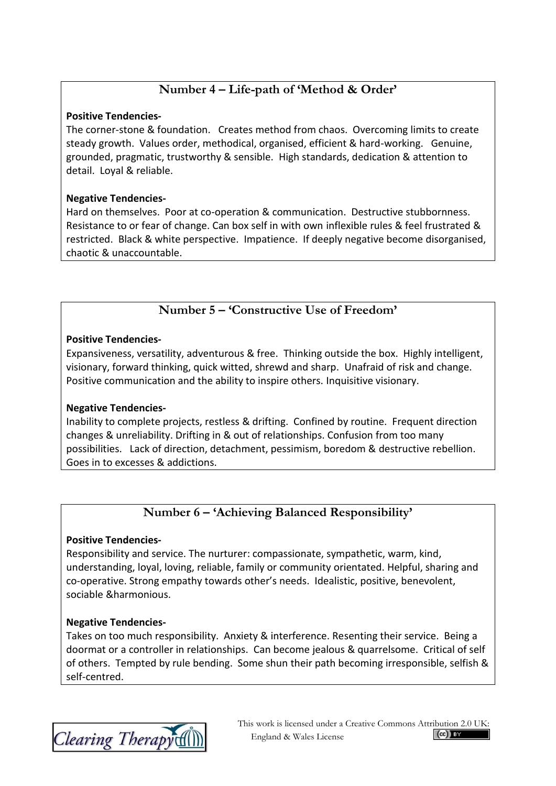# **Number 4 – Life-path of 'Method & Order'**

#### **Positive Tendencies-**

The corner-stone & foundation. Creates method from chaos. Overcoming limits to create steady growth. Values order, methodical, organised, efficient & hard-working. Genuine, grounded, pragmatic, trustworthy & sensible. High standards, dedication & attention to detail. Loyal & reliable.

#### **Negative Tendencies-**

Hard on themselves. Poor at co-operation & communication. Destructive stubbornness. Resistance to or fear of change. Can box self in with own inflexible rules & feel frustrated & restricted. Black & white perspective. Impatience. If deeply negative become disorganised, chaotic & unaccountable.

## **Number 5 – 'Constructive Use of Freedom'**

#### **Positive Tendencies-**

Expansiveness, versatility, adventurous & free. Thinking outside the box. Highly intelligent, visionary, forward thinking, quick witted, shrewd and sharp. Unafraid of risk and change. Positive communication and the ability to inspire others. Inquisitive visionary.

## **Negative Tendencies-**

Inability to complete projects, restless & drifting. Confined by routine. Frequent direction changes & unreliability. Drifting in & out of relationships. Confusion from too many possibilities. Lack of direction, detachment, pessimism, boredom & destructive rebellion. Goes in to excesses & addictions.

# **Number 6 – 'Achieving Balanced Responsibility'**

#### **Positive Tendencies-**

Responsibility and service. The nurturer: compassionate, sympathetic, warm, kind, understanding, loyal, loving, reliable, family or community orientated. Helpful, sharing and co-operative. Strong empathy towards other's needs. Idealistic, positive, benevolent, sociable &harmonious.

#### **Negative Tendencies-**

Takes on too much responsibility. Anxiety & interference. Resenting their service. Being a doormat or a controller in relationships. Can become jealous & quarrelsome. Critical of self of others. Tempted by rule bending. Some shun their path becoming irresponsible, selfish & self-centred.

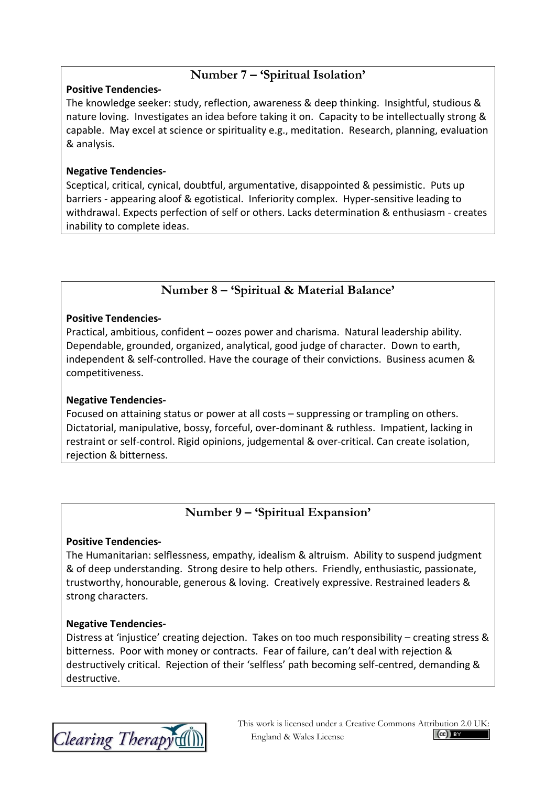# **Number 7 – 'Spiritual Isolation'**

#### **Positive Tendencies-**

The knowledge seeker: study, reflection, awareness & deep thinking. Insightful, studious & nature loving. Investigates an idea before taking it on. Capacity to be intellectually strong & capable. May excel at science or spirituality e.g., meditation. Research, planning, evaluation & analysis.

#### **Negative Tendencies-**

Sceptical, critical, cynical, doubtful, argumentative, disappointed & pessimistic. Puts up barriers - appearing aloof & egotistical. Inferiority complex. Hyper-sensitive leading to withdrawal. Expects perfection of self or others. Lacks determination & enthusiasm - creates inability to complete ideas.

# **Number 8 – 'Spiritual & Material Balance'**

#### **Positive Tendencies-**

Practical, ambitious, confident – oozes power and charisma. Natural leadership ability. Dependable, grounded, organized, analytical, good judge of character. Down to earth, independent & self-controlled. Have the courage of their convictions. Business acumen & competitiveness.

## **Negative Tendencies-**

Focused on attaining status or power at all costs – suppressing or trampling on others. Dictatorial, manipulative, bossy, forceful, over-dominant & ruthless. Impatient, lacking in restraint or self-control. Rigid opinions, judgemental & over-critical. Can create isolation, rejection & bitterness.

# **Number 9 – 'Spiritual Expansion'**

#### **Positive Tendencies-**

The Humanitarian: selflessness, empathy, idealism & altruism. Ability to suspend judgment & of deep understanding. Strong desire to help others. Friendly, enthusiastic, passionate, trustworthy, honourable, generous & loving. Creatively expressive. Restrained leaders & strong characters.

#### **Negative Tendencies-**

Distress at 'injustice' creating dejection. Takes on too much responsibility – creating stress & bitterness. Poor with money or contracts. Fear of failure, can't deal with rejection & destructively critical. Rejection of their 'selfless' path becoming self-centred, demanding & destructive.

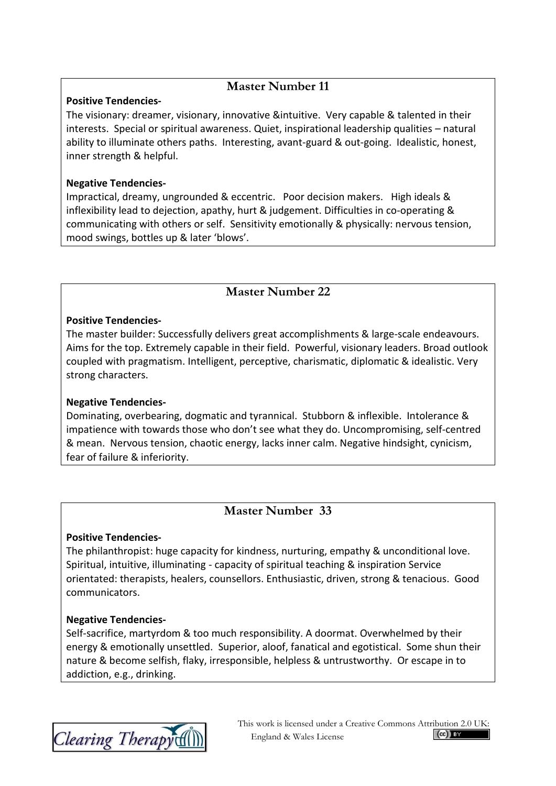## **Master Number 11**

#### **Positive Tendencies-**

The visionary: dreamer, visionary, innovative &intuitive. Very capable & talented in their interests. Special or spiritual awareness. Quiet, inspirational leadership qualities – natural ability to illuminate others paths. Interesting, avant-guard & out-going. Idealistic, honest, inner strength & helpful.

#### **Negative Tendencies-**

Impractical, dreamy, ungrounded & eccentric. Poor decision makers. High ideals & inflexibility lead to dejection, apathy, hurt & judgement. Difficulties in co-operating & communicating with others or self. Sensitivity emotionally & physically: nervous tension, mood swings, bottles up & later 'blows'.

## **Master Number 22**

#### **Positive Tendencies-**

The master builder: Successfully delivers great accomplishments & large-scale endeavours. Aims for the top. Extremely capable in their field. Powerful, visionary leaders. Broad outlook coupled with pragmatism. Intelligent, perceptive, charismatic, diplomatic & idealistic. Very strong characters.

#### **Negative Tendencies-**

Dominating, overbearing, dogmatic and tyrannical. Stubborn & inflexible. Intolerance & impatience with towards those who don't see what they do. Uncompromising, self-centred & mean. Nervous tension, chaotic energy, lacks inner calm. Negative hindsight, cynicism, fear of failure & inferiority.

## **Master Number 33**

#### **Positive Tendencies-**

The philanthropist: huge capacity for kindness, nurturing, empathy & unconditional love. Spiritual, intuitive, illuminating - capacity of spiritual teaching & inspiration Service orientated: therapists, healers, counsellors. Enthusiastic, driven, strong & tenacious. Good communicators.

#### **Negative Tendencies-**

Self-sacrifice, martyrdom & too much responsibility. A doormat. Overwhelmed by their energy & emotionally unsettled. Superior, aloof, fanatical and egotistical. Some shun their nature & become selfish, flaky, irresponsible, helpless & untrustworthy. Or escape in to addiction, e.g., drinking.